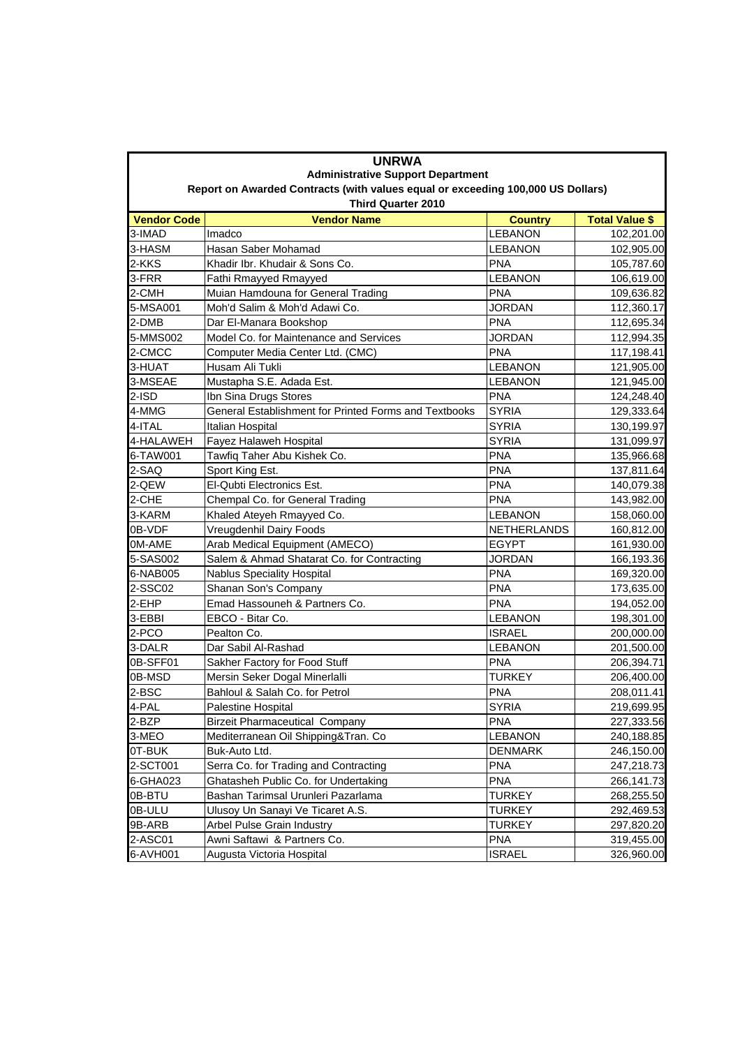| <b>UNRWA</b><br><b>Administrative Support Department</b><br>Report on Awarded Contracts (with values equal or exceeding 100,000 US Dollars) |                                                       |                              |                          |  |  |                           |                    |                |                       |  |  |
|---------------------------------------------------------------------------------------------------------------------------------------------|-------------------------------------------------------|------------------------------|--------------------------|--|--|---------------------------|--------------------|----------------|-----------------------|--|--|
|                                                                                                                                             |                                                       |                              |                          |  |  | <b>Third Quarter 2010</b> |                    |                |                       |  |  |
|                                                                                                                                             |                                                       |                              |                          |  |  | <b>Vendor Code</b>        | <b>Vendor Name</b> | <b>Country</b> | <b>Total Value \$</b> |  |  |
| 3-IMAD                                                                                                                                      | Imadco                                                | <b>LEBANON</b>               | 102,201.00               |  |  |                           |                    |                |                       |  |  |
| 3-HASM                                                                                                                                      | Hasan Saber Mohamad<br>Khadir Ibr. Khudair & Sons Co. | <b>LEBANON</b><br><b>PNA</b> | 102,905.00               |  |  |                           |                    |                |                       |  |  |
| 2-KKS<br>3-FRR                                                                                                                              | Fathi Rmayyed Rmayyed                                 | <b>LEBANON</b>               | 105,787.60<br>106,619.00 |  |  |                           |                    |                |                       |  |  |
| 2-CMH                                                                                                                                       | Muian Hamdouna for General Trading                    | <b>PNA</b>                   | 109,636.82               |  |  |                           |                    |                |                       |  |  |
| 5-MSA001                                                                                                                                    | Moh'd Salim & Moh'd Adawi Co.                         | <b>JORDAN</b>                | 112,360.17               |  |  |                           |                    |                |                       |  |  |
| 2-DMB                                                                                                                                       | Dar El-Manara Bookshop                                | <b>PNA</b>                   | 112,695.34               |  |  |                           |                    |                |                       |  |  |
| 5-MMS002                                                                                                                                    | Model Co. for Maintenance and Services                | <b>JORDAN</b>                | 112,994.35               |  |  |                           |                    |                |                       |  |  |
| 2-CMCC                                                                                                                                      | Computer Media Center Ltd. (CMC)                      | <b>PNA</b>                   | 117,198.41               |  |  |                           |                    |                |                       |  |  |
| 3-HUAT                                                                                                                                      | Husam Ali Tukli                                       | <b>LEBANON</b>               | 121,905.00               |  |  |                           |                    |                |                       |  |  |
| 3-MSEAE                                                                                                                                     | Mustapha S.E. Adada Est.                              | <b>LEBANON</b>               | 121,945.00               |  |  |                           |                    |                |                       |  |  |
| $2-ISD$                                                                                                                                     | Ibn Sina Drugs Stores                                 | <b>PNA</b>                   | 124,248.40               |  |  |                           |                    |                |                       |  |  |
| 4-MMG                                                                                                                                       | General Establishment for Printed Forms and Textbooks | <b>SYRIA</b>                 | 129,333.64               |  |  |                           |                    |                |                       |  |  |
| 4-ITAL                                                                                                                                      | Italian Hospital                                      | <b>SYRIA</b>                 | 130,199.97               |  |  |                           |                    |                |                       |  |  |
| 4-HALAWEH                                                                                                                                   | Fayez Halaweh Hospital                                | <b>SYRIA</b>                 | 131,099.97               |  |  |                           |                    |                |                       |  |  |
| 6-TAW001                                                                                                                                    | Tawfiq Taher Abu Kishek Co.                           | <b>PNA</b>                   | 135,966.68               |  |  |                           |                    |                |                       |  |  |
| 2-SAQ                                                                                                                                       | Sport King Est.                                       | <b>PNA</b>                   | 137,811.64               |  |  |                           |                    |                |                       |  |  |
| 2-QEW                                                                                                                                       | El-Qubti Electronics Est.                             | <b>PNA</b>                   | 140,079.38               |  |  |                           |                    |                |                       |  |  |
| 2-CHE                                                                                                                                       | Chempal Co. for General Trading                       | <b>PNA</b>                   | 143,982.00               |  |  |                           |                    |                |                       |  |  |
| 3-KARM                                                                                                                                      | Khaled Ateyeh Rmayyed Co.                             | <b>LEBANON</b>               | 158,060.00               |  |  |                           |                    |                |                       |  |  |
| 0B-VDF                                                                                                                                      | Vreugdenhil Dairy Foods                               | NETHERLANDS                  | 160,812.00               |  |  |                           |                    |                |                       |  |  |
| 0M-AME                                                                                                                                      | Arab Medical Equipment (AMECO)                        | <b>EGYPT</b>                 | 161,930.00               |  |  |                           |                    |                |                       |  |  |
| 5-SAS002                                                                                                                                    | Salem & Ahmad Shatarat Co. for Contracting            | <b>JORDAN</b>                | 166,193.36               |  |  |                           |                    |                |                       |  |  |
| 6-NAB005                                                                                                                                    | <b>Nablus Speciality Hospital</b>                     | <b>PNA</b>                   | 169,320.00               |  |  |                           |                    |                |                       |  |  |
| 2-SSC02                                                                                                                                     | Shanan Son's Company                                  | <b>PNA</b>                   | 173,635.00               |  |  |                           |                    |                |                       |  |  |
| 2-EHP                                                                                                                                       | Emad Hassouneh & Partners Co.                         | <b>PNA</b>                   | 194,052.00               |  |  |                           |                    |                |                       |  |  |
| 3-EBBI                                                                                                                                      | EBCO - Bitar Co.                                      | <b>LEBANON</b>               | 198,301.00               |  |  |                           |                    |                |                       |  |  |
| 2-PCO                                                                                                                                       | Pealton Co.                                           | <b>ISRAEL</b>                | 200,000.00               |  |  |                           |                    |                |                       |  |  |
| 3-DALR                                                                                                                                      | Dar Sabil Al-Rashad                                   | <b>LEBANON</b>               | 201,500.00               |  |  |                           |                    |                |                       |  |  |
| 0B-SFF01                                                                                                                                    | Sakher Factory for Food Stuff                         | <b>PNA</b>                   | 206,394.71               |  |  |                           |                    |                |                       |  |  |
| 0B-MSD                                                                                                                                      | Mersin Seker Dogal Minerlalli                         | <b>TURKEY</b>                | 206,400.00               |  |  |                           |                    |                |                       |  |  |
| 2-BSC                                                                                                                                       | Bahloul & Salah Co. for Petrol                        | <b>PNA</b>                   | 208,011.41               |  |  |                           |                    |                |                       |  |  |
| 4-PAL                                                                                                                                       | Palestine Hospital                                    | <b>SYRIA</b>                 | 219,699.95               |  |  |                           |                    |                |                       |  |  |
| 2-BZP                                                                                                                                       | <b>Birzeit Pharmaceutical Company</b>                 | <b>PNA</b>                   | 227,333.56               |  |  |                           |                    |                |                       |  |  |
| 3-MEO                                                                                                                                       | Mediterranean Oil Shipping&Tran. Co                   | LEBANON                      | 240,188.85               |  |  |                           |                    |                |                       |  |  |
| 0T-BUK                                                                                                                                      | Buk-Auto Ltd.                                         | DENMARK                      | 246,150.00               |  |  |                           |                    |                |                       |  |  |
| 2-SCT001                                                                                                                                    | Serra Co. for Trading and Contracting                 | PNA                          | 247,218.73               |  |  |                           |                    |                |                       |  |  |
| 6-GHA023                                                                                                                                    | Ghatasheh Public Co. for Undertaking                  | <b>PNA</b>                   | 266,141.73               |  |  |                           |                    |                |                       |  |  |
| 0B-BTU                                                                                                                                      | Bashan Tarimsal Urunleri Pazarlama                    | TURKEY                       | 268,255.50               |  |  |                           |                    |                |                       |  |  |
| 0B-ULU                                                                                                                                      | Ulusoy Un Sanayi Ve Ticaret A.S.                      | TURKEY                       | 292,469.53               |  |  |                           |                    |                |                       |  |  |
| 9B-ARB                                                                                                                                      | Arbel Pulse Grain Industry                            | TURKEY                       | 297,820.20               |  |  |                           |                    |                |                       |  |  |
| 2-ASC01                                                                                                                                     | Awni Saftawi & Partners Co.                           | <b>PNA</b>                   | 319,455.00               |  |  |                           |                    |                |                       |  |  |
| 6-AVH001                                                                                                                                    | Augusta Victoria Hospital                             | <b>ISRAEL</b>                | 326,960.00               |  |  |                           |                    |                |                       |  |  |